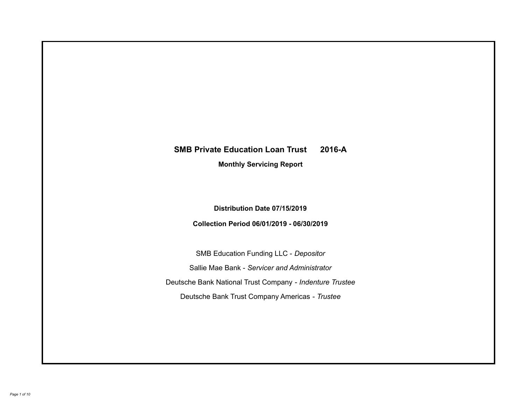# **SMB Private Education Loan Trust 2016-A Monthly Servicing Report**

## **Distribution Date 07/15/2019**

## **Collection Period 06/01/2019 - 06/30/2019**

SMB Education Funding LLC - *Depositor* Sallie Mae Bank - *Servicer and Administrator* Deutsche Bank National Trust Company - *Indenture Trustee* Deutsche Bank Trust Company Americas - *Trustee*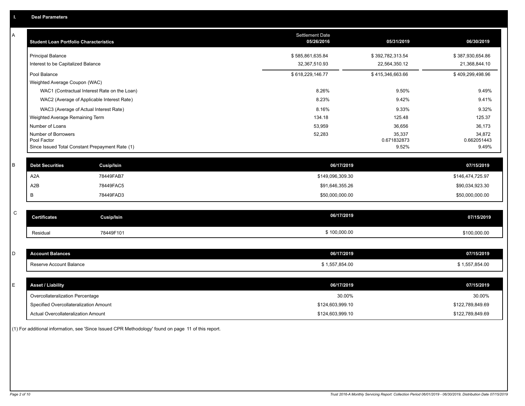| A           | <b>Student Loan Portfolio Characteristics</b>                  | <b>Settlement Date</b><br>05/26/2016 | 05/31/2019           | 06/30/2019           |
|-------------|----------------------------------------------------------------|--------------------------------------|----------------------|----------------------|
|             | <b>Principal Balance</b>                                       | \$585,861,635.84                     | \$392,782,313.54     | \$387,930,654.86     |
|             | Interest to be Capitalized Balance                             | 32,367,510.93                        | 22,564,350.12        | 21,368,844.10        |
|             | Pool Balance                                                   | \$618,229,146.77                     | \$415,346,663.66     | \$409,299,498.96     |
|             | Weighted Average Coupon (WAC)                                  |                                      |                      |                      |
|             | WAC1 (Contractual Interest Rate on the Loan)                   | 8.26%                                | 9.50%                | 9.49%                |
|             | WAC2 (Average of Applicable Interest Rate)                     | 8.23%                                | 9.42%                | 9.41%                |
|             | WAC3 (Average of Actual Interest Rate)                         | 8.16%                                | 9.33%                | 9.32%                |
|             | Weighted Average Remaining Term                                | 134.18                               | 125.48               | 125.37               |
|             | Number of Loans                                                | 53,959                               | 36,656               | 36,173               |
|             | Number of Borrowers                                            | 52,283                               | 35,337               | 34,872               |
|             | Pool Factor<br>Since Issued Total Constant Prepayment Rate (1) |                                      | 0.671832873<br>9.52% | 0.662051443<br>9.49% |
|             |                                                                |                                      |                      |                      |
| B           | <b>Debt Securities</b><br>Cusip/Isin                           | 06/17/2019                           |                      | 07/15/2019           |
|             | A <sub>2</sub> A<br>78449FAB7                                  | \$149,096,309.30                     |                      | \$146,474,725.97     |
|             | A2B<br>78449FAC5                                               | \$91,646,355.26                      |                      | \$90,034,923.30      |
|             | 78449FAD3<br>В                                                 | \$50,000,000.00                      |                      | \$50,000,000.00      |
|             |                                                                |                                      |                      |                      |
| $\mathsf C$ | <b>Certificates</b><br><b>Cusip/Isin</b>                       | 06/17/2019                           |                      | 07/15/2019           |
|             | 78449F101<br>Residual                                          | \$100,000.00                         |                      | \$100,000.00         |
|             |                                                                |                                      |                      |                      |
| D           | <b>Account Balances</b>                                        | 06/17/2019                           |                      | 07/15/2019           |
|             | Reserve Account Balance                                        | \$1,557,854.00                       |                      | \$1,557,854.00       |
|             |                                                                |                                      |                      |                      |
| E           | <b>Asset / Liability</b>                                       | 06/17/2019                           |                      | 07/15/2019           |
|             | Overcollateralization Percentage                               | 30.00%                               |                      | 30.00%               |
|             | Specified Overcollateralization Amount                         | \$124,603,999.10                     |                      | \$122,789,849.69     |
|             | Actual Overcollateralization Amount                            | \$124,603,999.10                     |                      | \$122,789,849.69     |

(1) For additional information, see 'Since Issued CPR Methodology' found on page 11 of this report.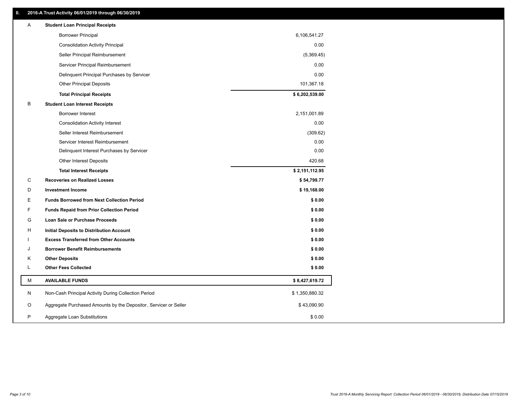## **II. 2016-A Trust Activity 06/01/2019 through 06/30/2019**

| Α | <b>Student Loan Principal Receipts</b>                           |                |  |
|---|------------------------------------------------------------------|----------------|--|
|   | <b>Borrower Principal</b>                                        | 6,106,541.27   |  |
|   | <b>Consolidation Activity Principal</b>                          | 0.00           |  |
|   | Seller Principal Reimbursement                                   | (5,369.45)     |  |
|   | Servicer Principal Reimbursement                                 | 0.00           |  |
|   | Delinquent Principal Purchases by Servicer                       | 0.00           |  |
|   | <b>Other Principal Deposits</b>                                  | 101,367.18     |  |
|   | <b>Total Principal Receipts</b>                                  | \$6,202,539.00 |  |
| B | <b>Student Loan Interest Receipts</b>                            |                |  |
|   | <b>Borrower Interest</b>                                         | 2,151,001.89   |  |
|   | <b>Consolidation Activity Interest</b>                           | 0.00           |  |
|   | Seller Interest Reimbursement                                    | (309.62)       |  |
|   | Servicer Interest Reimbursement                                  | 0.00           |  |
|   | Delinquent Interest Purchases by Servicer                        | 0.00           |  |
|   | Other Interest Deposits                                          | 420.68         |  |
|   | <b>Total Interest Receipts</b>                                   | \$2,151,112.95 |  |
| С | <b>Recoveries on Realized Losses</b>                             | \$54,799.77    |  |
| D | <b>Investment Income</b>                                         | \$19,168.00    |  |
| Е | <b>Funds Borrowed from Next Collection Period</b>                | \$0.00         |  |
| F | <b>Funds Repaid from Prior Collection Period</b>                 | \$0.00         |  |
| G | Loan Sale or Purchase Proceeds                                   | \$0.00         |  |
| H | Initial Deposits to Distribution Account                         | \$0.00         |  |
|   | <b>Excess Transferred from Other Accounts</b>                    | \$0.00         |  |
| J | <b>Borrower Benefit Reimbursements</b>                           | \$0.00         |  |
| Κ | <b>Other Deposits</b>                                            | \$0.00         |  |
| L | <b>Other Fees Collected</b>                                      | \$0.00         |  |
| M | <b>AVAILABLE FUNDS</b>                                           | \$8,427,619.72 |  |
| N | Non-Cash Principal Activity During Collection Period             | \$1,350,880.32 |  |
| O | Aggregate Purchased Amounts by the Depositor, Servicer or Seller | \$43,090.90    |  |
| P | Aggregate Loan Substitutions                                     | \$0.00         |  |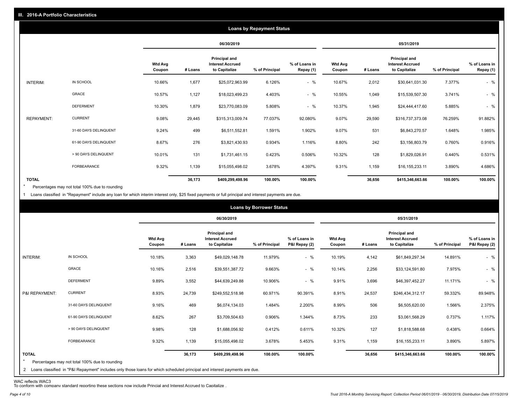|                   | <b>Loans by Repayment Status</b> |                          |            |                                                           |                |                            |                   |         |                                                                  |                |                            |
|-------------------|----------------------------------|--------------------------|------------|-----------------------------------------------------------|----------------|----------------------------|-------------------|---------|------------------------------------------------------------------|----------------|----------------------------|
|                   |                                  |                          | 06/30/2019 |                                                           |                | 05/31/2019                 |                   |         |                                                                  |                |                            |
|                   |                                  | <b>Wtd Avg</b><br>Coupon | # Loans    | Principal and<br><b>Interest Accrued</b><br>to Capitalize | % of Principal | % of Loans in<br>Repay (1) | Wtd Avg<br>Coupon | # Loans | <b>Principal and</b><br><b>Interest Accrued</b><br>to Capitalize | % of Principal | % of Loans in<br>Repay (1) |
| INTERIM:          | IN SCHOOL                        | 10.66%                   | 1,677      | \$25,072,963.99                                           | 6.126%         | $-$ %                      | 10.67%            | 2,012   | \$30,641,031.30                                                  | 7.377%         | $-$ %                      |
|                   | GRACE                            | 10.57%                   | 1,127      | \$18,023,499.23                                           | 4.403%         | $-$ %                      | 10.55%            | 1,049   | \$15,539,507.30                                                  | 3.741%         | $-$ %                      |
|                   | <b>DEFERMENT</b>                 | 10.30%                   | 1,879      | \$23,770,083.09                                           | 5.808%         | $-$ %                      | 10.37%            | 1,945   | \$24,444,417.60                                                  | 5.885%         | $-$ %                      |
| <b>REPAYMENT:</b> | <b>CURRENT</b>                   | 9.08%                    | 29,445     | \$315,313,009.74                                          | 77.037%        | 92.080%                    | 9.07%             | 29,590  | \$316,737,373.08                                                 | 76.259%        | 91.882%                    |
|                   | 31-60 DAYS DELINQUENT            | 9.24%                    | 499        | \$6,511,552.81                                            | 1.591%         | 1.902%                     | 9.07%             | 531     | \$6,843,270.57                                                   | 1.648%         | 1.985%                     |
|                   | 61-90 DAYS DELINQUENT            | 8.67%                    | 276        | \$3,821,430.93                                            | 0.934%         | 1.116%                     | 8.80%             | 242     | \$3,156,803.79                                                   | 0.760%         | 0.916%                     |
|                   | > 90 DAYS DELINQUENT             | 10.01%                   | 131        | \$1,731,461.15                                            | 0.423%         | 0.506%                     | 10.32%            | 128     | \$1,829,026.91                                                   | 0.440%         | 0.531%                     |
|                   | FORBEARANCE                      | 9.32%                    | 1,139      | \$15,055,498.02                                           | 3.678%         | 4.397%                     | 9.31%             | 1,159   | \$16,155,233.11                                                  | 3.890%         | 4.686%                     |
| <b>TOTAL</b>      |                                  |                          | 36,173     | \$409,299,498.96                                          | 100.00%        | 100.00%                    |                   | 36,656  | \$415,346,663.66                                                 | 100.00%        | 100.00%                    |

Percentages may not total 100% due to rounding \*

1 Loans classified in "Repayment" include any loan for which interim interest only, \$25 fixed payments or full principal and interest payments are due.

|                         |                                                                                                                                                                                |                          | <b>Loans by Borrower Status</b> |                                                           |                |                                |                          |         |                                                                  |                |                                |
|-------------------------|--------------------------------------------------------------------------------------------------------------------------------------------------------------------------------|--------------------------|---------------------------------|-----------------------------------------------------------|----------------|--------------------------------|--------------------------|---------|------------------------------------------------------------------|----------------|--------------------------------|
|                         |                                                                                                                                                                                |                          | 06/30/2019                      |                                                           |                |                                |                          |         | 05/31/2019                                                       |                |                                |
|                         |                                                                                                                                                                                | <b>Wtd Avg</b><br>Coupon | # Loans                         | Principal and<br><b>Interest Accrued</b><br>to Capitalize | % of Principal | % of Loans in<br>P&I Repay (2) | <b>Wtd Avg</b><br>Coupon | # Loans | <b>Principal and</b><br><b>Interest Accrued</b><br>to Capitalize | % of Principal | % of Loans in<br>P&I Repay (2) |
| INTERIM:                | IN SCHOOL                                                                                                                                                                      | 10.18%                   | 3,363                           | \$49,029,148.78                                           | 11.979%        | $-$ %                          | 10.19%                   | 4,142   | \$61,849,297.34                                                  | 14.891%        | $-$ %                          |
|                         | GRACE                                                                                                                                                                          | 10.16%                   | 2,516                           | \$39,551,387.72                                           | 9.663%         | $-$ %                          | 10.14%                   | 2,256   | \$33,124,591.80                                                  | 7.975%         | $-$ %                          |
|                         | <b>DEFERMENT</b>                                                                                                                                                               | 9.89%                    | 3,552                           | \$44,639,249.88                                           | 10.906%        | $-$ %                          | 9.91%                    | 3,696   | \$46,397,452.27                                                  | 11.171%        | $-$ %                          |
| P&I REPAYMENT:          | <b>CURRENT</b>                                                                                                                                                                 | 8.93%                    | 24,739                          | \$249,552,518.98                                          | 60.971%        | 90.391%                        | 8.91%                    | 24,537  | \$246,434,312.17                                                 | 59.332%        | 89.948%                        |
|                         | 31-60 DAYS DELINQUENT                                                                                                                                                          | 9.16%                    | 469                             | \$6,074,134.03                                            | 1.484%         | 2.200%                         | 8.99%                    | 506     | \$6,505,620.00                                                   | 1.566%         | 2.375%                         |
|                         | 61-90 DAYS DELINQUENT                                                                                                                                                          | 8.62%                    | 267                             | \$3,709,504.63                                            | 0.906%         | 1.344%                         | 8.73%                    | 233     | \$3,061,568.29                                                   | 0.737%         | 1.117%                         |
|                         | > 90 DAYS DELINQUENT                                                                                                                                                           | 9.98%                    | 128                             | \$1,688,056.92                                            | 0.412%         | 0.611%                         | 10.32%                   | 127     | \$1,818,588.68                                                   | 0.438%         | 0.664%                         |
|                         | FORBEARANCE                                                                                                                                                                    | 9.32%                    | 1,139                           | \$15,055,498.02                                           | 3.678%         | 5.453%                         | 9.31%                    | 1,159   | \$16,155,233.11                                                  | 3.890%         | 5.897%                         |
| <b>TOTAL</b><br>$\star$ | Percentages may not total 100% due to rounding<br>2 Loans classified in "P&I Repayment" includes only those loans for which scheduled principal and interest payments are due. |                          | 36,173                          | \$409,299,498.96                                          | 100.00%        | 100.00%                        |                          | 36,656  | \$415,346,663.66                                                 | 100.00%        | 100.00%                        |

WAC reflects WAC3 To conform with company standard reporting these sections now include Princial and Interest Accrued to Capitalize .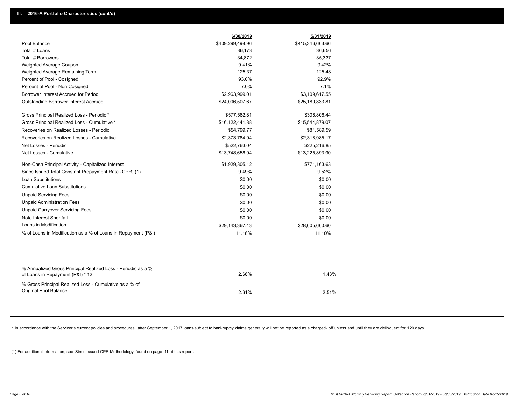|                                                                                                  | 6/30/2019        | 5/31/2019        |  |
|--------------------------------------------------------------------------------------------------|------------------|------------------|--|
| Pool Balance                                                                                     | \$409,299,498.96 | \$415,346,663.66 |  |
| Total # Loans                                                                                    | 36,173           | 36,656           |  |
| Total # Borrowers                                                                                | 34,872           | 35,337           |  |
| Weighted Average Coupon                                                                          | 9.41%            | 9.42%            |  |
| Weighted Average Remaining Term                                                                  | 125.37           | 125.48           |  |
| Percent of Pool - Cosigned                                                                       | 93.0%            | 92.9%            |  |
| Percent of Pool - Non Cosigned                                                                   | 7.0%             | 7.1%             |  |
| Borrower Interest Accrued for Period                                                             | \$2,963,999.01   | \$3,109,617.55   |  |
| Outstanding Borrower Interest Accrued                                                            | \$24,006,507.67  | \$25,180,833.81  |  |
| Gross Principal Realized Loss - Periodic *                                                       | \$577,562.81     | \$306,806.44     |  |
| Gross Principal Realized Loss - Cumulative *                                                     | \$16,122,441.88  | \$15,544,879.07  |  |
| Recoveries on Realized Losses - Periodic                                                         | \$54,799.77      | \$81,589.59      |  |
| Recoveries on Realized Losses - Cumulative                                                       | \$2,373,784.94   | \$2,318,985.17   |  |
| Net Losses - Periodic                                                                            | \$522,763.04     | \$225,216.85     |  |
| Net Losses - Cumulative                                                                          | \$13,748,656.94  | \$13,225,893.90  |  |
| Non-Cash Principal Activity - Capitalized Interest                                               | \$1,929,305.12   | \$771,163.63     |  |
| Since Issued Total Constant Prepayment Rate (CPR) (1)                                            | 9.49%            | 9.52%            |  |
| <b>Loan Substitutions</b>                                                                        | \$0.00           | \$0.00           |  |
| <b>Cumulative Loan Substitutions</b>                                                             | \$0.00           | \$0.00           |  |
| <b>Unpaid Servicing Fees</b>                                                                     | \$0.00           | \$0.00           |  |
| <b>Unpaid Administration Fees</b>                                                                | \$0.00           | \$0.00           |  |
| <b>Unpaid Carryover Servicing Fees</b>                                                           | \$0.00           | \$0.00           |  |
| Note Interest Shortfall                                                                          | \$0.00           | \$0.00           |  |
| Loans in Modification                                                                            | \$29,143,367.43  | \$28,605,660.60  |  |
| % of Loans in Modification as a % of Loans in Repayment (P&I)                                    | 11.16%           | 11.10%           |  |
|                                                                                                  |                  |                  |  |
| % Annualized Gross Principal Realized Loss - Periodic as a %<br>of Loans in Repayment (P&I) * 12 | 2.66%            | 1.43%            |  |
| % Gross Principal Realized Loss - Cumulative as a % of                                           |                  |                  |  |
| Original Pool Balance                                                                            | 2.61%            | 2.51%            |  |

\* In accordance with the Servicer's current policies and procedures, after September 1, 2017 loans subject to bankruptcy claims generally will not be reported as a charged- off unless and until they are delinquent for 120

(1) For additional information, see 'Since Issued CPR Methodology' found on page 11 of this report.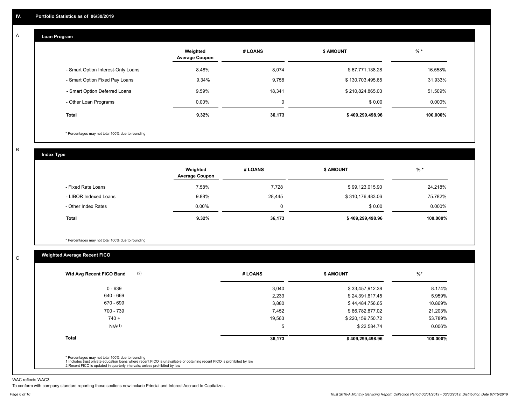#### **Loan Program**  A

|                                    | Weighted<br><b>Average Coupon</b> | # LOANS | <b>\$ AMOUNT</b> | $%$ *    |
|------------------------------------|-----------------------------------|---------|------------------|----------|
| - Smart Option Interest-Only Loans | 8.48%                             | 8,074   | \$67,771,138.28  | 16.558%  |
| - Smart Option Fixed Pay Loans     | 9.34%                             | 9,758   | \$130,703,495.65 | 31.933%  |
| - Smart Option Deferred Loans      | 9.59%                             | 18,341  | \$210,824,865.03 | 51.509%  |
| - Other Loan Programs              | $0.00\%$                          | 0       | \$0.00           | 0.000%   |
| <b>Total</b>                       | 9.32%                             | 36,173  | \$409,299,498.96 | 100.000% |

\* Percentages may not total 100% due to rounding

B

C

**Index Type**

|                       | Weighted<br><b>Average Coupon</b> | # LOANS     | <b>\$ AMOUNT</b> | $%$ *     |
|-----------------------|-----------------------------------|-------------|------------------|-----------|
| - Fixed Rate Loans    | 7.58%                             | 7,728       | \$99,123,015.90  | 24.218%   |
| - LIBOR Indexed Loans | 9.88%                             | 28,445      | \$310,176,483.06 | 75.782%   |
| - Other Index Rates   | $0.00\%$                          | $\mathbf 0$ | \$0.00           | $0.000\%$ |
| <b>Total</b>          | 9.32%                             | 36,173      | \$409,299,498.96 | 100.000%  |

\* Percentages may not total 100% due to rounding

## **Weighted Average Recent FICO**

| (2)<br>Wtd Avg Recent FICO Band | # LOANS | \$ AMOUNT        | $%$ *    |
|---------------------------------|---------|------------------|----------|
| $0 - 639$                       | 3,040   | \$33,457,912.38  | 8.174%   |
| 640 - 669                       | 2,233   | \$24,391,617.45  | 5.959%   |
| 670 - 699                       | 3,880   | \$44,484,756.65  | 10.869%  |
| 700 - 739                       | 7,452   | \$86,782,877.02  | 21.203%  |
| $740 +$                         | 19,563  | \$220,159,750.72 | 53.789%  |
| N/A <sup>(1)</sup>              | 5       | \$22,584.74      | 0.006%   |
| <b>Total</b>                    | 36,173  | \$409,299,498.96 | 100.000% |
|                                 |         |                  |          |

WAC reflects WAC3

To conform with company standard reporting these sections now include Princial and Interest Accrued to Capitalize .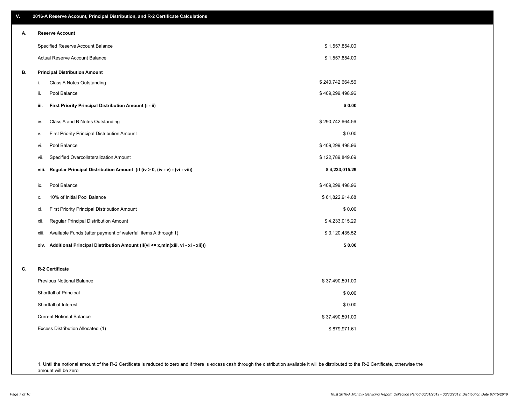| ۷. | 2016-A Reserve Account, Principal Distribution, and R-2 Certificate Calculations     |                  |
|----|--------------------------------------------------------------------------------------|------------------|
| А. | <b>Reserve Account</b>                                                               |                  |
|    | Specified Reserve Account Balance                                                    | \$1,557,854.00   |
|    | Actual Reserve Account Balance                                                       | \$1,557,854.00   |
| В. | <b>Principal Distribution Amount</b>                                                 |                  |
|    | Class A Notes Outstanding<br>i.                                                      | \$240,742,664.56 |
|    | ii.<br>Pool Balance                                                                  | \$409,299,498.96 |
|    | First Priority Principal Distribution Amount (i - ii)<br>iii.                        | \$0.00           |
|    | Class A and B Notes Outstanding<br>iv.                                               | \$290,742,664.56 |
|    | First Priority Principal Distribution Amount<br>v.                                   | \$0.00           |
|    | Pool Balance<br>vi.                                                                  | \$409,299,498.96 |
|    | Specified Overcollateralization Amount<br>vii.                                       | \$122,789,849.69 |
|    | Regular Principal Distribution Amount (if (iv > 0, (iv - v) - (vi - vii))<br>viii.   | \$4,233,015.29   |
|    | Pool Balance<br>ix.                                                                  | \$409,299,498.96 |
|    | 10% of Initial Pool Balance<br>х.                                                    | \$61,822,914.68  |
|    | First Priority Principal Distribution Amount<br>xi.                                  | \$0.00           |
|    | Regular Principal Distribution Amount<br>xii.                                        | \$4,233,015.29   |
|    | Available Funds (after payment of waterfall items A through I)<br>xiii.              | \$3,120,435.52   |
|    | xiv. Additional Principal Distribution Amount (if(vi <= x,min(xiii, vi - xi - xii))) | \$0.00           |
| C. | R-2 Certificate                                                                      |                  |
|    | <b>Previous Notional Balance</b>                                                     | \$37,490,591.00  |
|    | Shortfall of Principal                                                               | \$0.00           |
|    | Shortfall of Interest                                                                | \$0.00           |
|    | <b>Current Notional Balance</b>                                                      | \$37,490,591.00  |
|    | Excess Distribution Allocated (1)                                                    | \$879,971.61     |
|    |                                                                                      |                  |
|    |                                                                                      |                  |

1. Until the notional amount of the R-2 Certificate is reduced to zero and if there is excess cash through the distribution available it will be distributed to the R-2 Certificate, otherwise the amount will be zero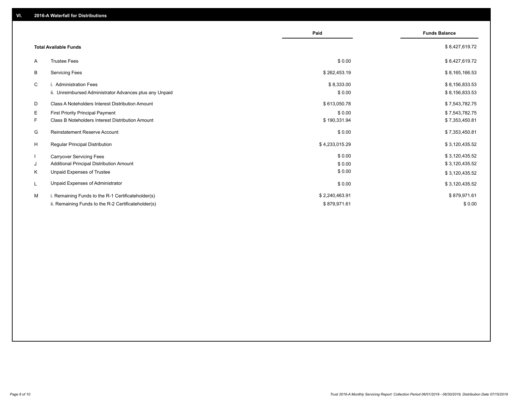|                                                               | Paid           | <b>Funds Balance</b> |
|---------------------------------------------------------------|----------------|----------------------|
| <b>Total Available Funds</b>                                  |                | \$8,427,619.72       |
| <b>Trustee Fees</b><br>A                                      | \$0.00         | \$8,427,619.72       |
| B<br><b>Servicing Fees</b>                                    | \$262,453.19   | \$8,165,166.53       |
| C<br>i. Administration Fees                                   | \$8,333.00     | \$8,156,833.53       |
| ii. Unreimbursed Administrator Advances plus any Unpaid       | \$0.00         | \$8,156,833.53       |
| D<br><b>Class A Noteholders Interest Distribution Amount</b>  | \$613,050.78   | \$7,543,782.75       |
| E.<br>First Priority Principal Payment                        | \$0.00         | \$7,543,782.75       |
| <b>Class B Noteholders Interest Distribution Amount</b><br>F. | \$190,331.94   | \$7,353,450.81       |
| G<br><b>Reinstatement Reserve Account</b>                     | \$0.00         | \$7,353,450.81       |
| H<br><b>Regular Principal Distribution</b>                    | \$4,233,015.29 | \$3,120,435.52       |
| $\mathbf{I}$<br><b>Carryover Servicing Fees</b>               | \$0.00         | \$3,120,435.52       |
| Additional Principal Distribution Amount<br>J                 | \$0.00         | \$3,120,435.52       |
| Κ<br>Unpaid Expenses of Trustee                               | \$0.00         | \$3,120,435.52       |
| Unpaid Expenses of Administrator<br>L                         | \$0.00         | \$3,120,435.52       |
| М<br>i. Remaining Funds to the R-1 Certificateholder(s)       | \$2,240,463.91 | \$879,971.61         |
| ii. Remaining Funds to the R-2 Certificateholder(s)           | \$879,971.61   | \$0.00               |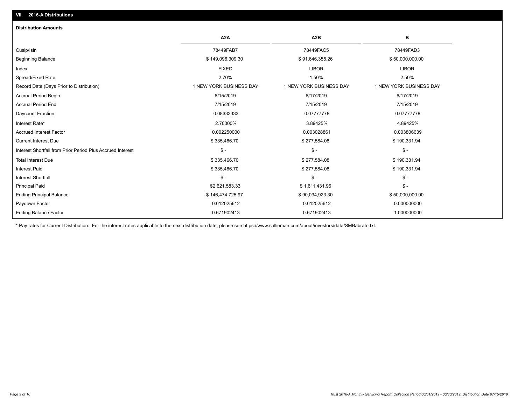## Ending Balance Factor Paydown Factor 0.012025612 0.012025612 0.000000000 Ending Principal Balance \$ 146,474,725.97 \$ 90,034,923.30 \$ 50,000,000.00 Principal Paid \$2,621,583.33 \$ 1,611,431.96 \$ - Interest Shortfall \$ - \$ - \$ - Interest Paid \$ 335,466.70 \$ 277,584.08 \$ 190,331.94 Total Interest Due \$ 335,466.70 \$ 277,584.08 \$ 190,331.94 Interest Shortfall from Prior Period Plus Accrued Interest \$ - \$ - \$ - Current Interest Due \$ 335,466.70 \$ 277,584.08 \$ 190,331.94 Accrued Interest Factor 0.002250000 0.003028861 0.003806639 Interest Rate\* 2.70000% 3.89425% 4.89425% Daycount Fraction 0.08333333 0.07777778 0.07777778 Accrual Period End 7/15/2019 7/15/2019 7/15/2019 Accrual Period Begin 6/15/2019 6/17/2019 6/17/2019 Record Date (Days Prior to Distribution) 1 1 NEW YORK BUSINESS DAY 1 NEW YORK BUSINESS DAY 1 NEW YORK BUSINESS DAY Spread/Fixed Rate 2.70% 1.50% 2.50% Index FIXED LIBOR LIBOR Beginning Balance \$ 149,096,309.30 \$ 91,646,355.26 \$ 50,000,000.00 Cusip/Isin 78449FAB7 78449FAC5 78449FAD3 **A2A A2B B** 0.671902413 0.671902413 1.000000000 **Distribution Amounts**

\* Pay rates for Current Distribution. For the interest rates applicable to the next distribution date, please see https://www.salliemae.com/about/investors/data/SMBabrate.txt.

**VII. 2016-A Distributions**